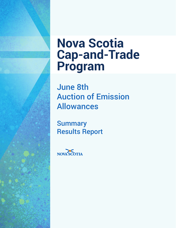# **Nova Scotia Cap-and-Trade Program**

June 8th Auction of Emission Allowances

**Summary** Results Report

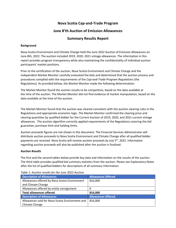## **Nova Scotia Cap-and-Trade Program**

## **June 8'th Auction of Emission Allowances**

### **Summary Results Report**

#### **Background**

Nova Scotia Environment and Climate Change held the June 2022 Auction of Emission Allowances on June 8th, 2022. The auction included 2019, 2020, 2021 vintage allowances. The information in this report provides program transparency while also maintaining the confidentiality of individual auction participants' market positions.

Prior to the certification of the auction, Nova Scotia Environment and Climate Change and the independent Market Monitor carefully evaluated the bids and determined that the auction process and procedures complied with the requirements of the *Cap-and-Trade Program Regulations* (the Regulations). As provided below, the Market Monitor made the following determination:

The Market Monitor found the auction results to be competitive, based on the data available at the time of the auction. The Market Monitor did not find evidence of market manipulation, based on the data available at the time of the auction.

The Market Monitor found that the auction was cleared consistent with the auction clearing rules in the Regulations and appropriate economic logic. The Market Monitor confirmed the clearing price and clearing quantities by qualified bidder for the Current Auction of 2019, 2020, and 2021 current vintage allowances. The auction algorithm correctly applied requirements of the Regulations covering the bid guarantee, purchase limit and holding limits.

Auction proceeds figures are not shown in this document. The Financial Services Administrator will distribute auction proceeds to Nova Scotia Environment and Climate Change after all qualified bidder payments are received. Nova Scotia will receive auction proceeds by July 5<sup>th</sup>, 2022. Information regarding auction proceeds will also be published after the auction is finalized.

#### **Auction Results**

The first and the second tables below provide key data and information on the results of the auction. The third table provides qualified bid summary statistics from the auction. Please see Explanatory Notes after the list of qualified bidders for descriptions of all summary information.

| <b>Description of Allowances</b>                | <b>Allowances Offered</b> |
|-------------------------------------------------|---------------------------|
| Allowances offered by Nova Scotia Environment   | 816,000                   |
| and Climate Change                              |                           |
| Allowances offered by entity consignment        | 0                         |
| <b>Total allowances offered</b>                 | 816,000                   |
| <b>Description of Allowances</b>                | <b>Allowances Offered</b> |
| Allowances sold for Nova Scotia Environment and | 816,000                   |
| Climate Change                                  |                           |

*Table 1: Auction results for the June 2022 Auction*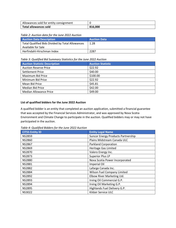| Allowances sold for entity consignment |         |
|----------------------------------------|---------|
| Total allowances sold                  | 816.000 |

*Table 2: Auction data for the June 2022 Auction*

| <b>Auction Data Description</b>                  | <b>Auction Data</b> |
|--------------------------------------------------|---------------------|
| Total Qualified Bids Divided by Total Allowances | 1.28                |
| Available for Sale                               |                     |
| Herfindahl-Hirschman Index                       | 2287                |

#### *Table 3: Qualified Bid Summary Statistics for the June 2022 Auction*

| <b>Auction Statistic Description</b> | <b>Auction Statistic</b> |
|--------------------------------------|--------------------------|
| <b>Auction Reserve Price</b>         | \$22.92                  |
| <b>Settlement Price</b>              | \$40.00                  |
| Maximum Bid Price                    | \$100.00                 |
| Minimum Bid Price                    | \$22.92                  |
| Mean Bid Price                       | \$45.81                  |
| <b>Median Bid Price</b>              | \$42.00                  |
| Median Allowance Price               | \$49.00                  |

#### **List of qualified bidders for the June 2022 Auction**

A qualified bidder is an entity that completed an auction application, submitted a financial guarantee that was accepted by the Financial Services Administrator, and was approved by Nova Scotia Environment and Climate Change to participate in the auction. Qualified bidders may or may not have participated in the auction.

*Table 4: Qualified Bidders for the June 2022 Auction*

| <b>CITSS Entity ID</b> | <b>Entity Legal Name</b>                  |
|------------------------|-------------------------------------------|
| <b>NS2859</b>          | <b>Suncor Energy Products Partnership</b> |
| <b>NS2860</b>          | Plains Midstream Canada ULC               |
| <b>NS2867</b>          | <b>Parkland Corporation</b>               |
| <b>NS2869</b>          | Heritage Gas Limited                      |
| <b>NS2870</b>          | Valero Energy Inc.                        |
| <b>NS2873</b>          | <b>Superior Plus LP</b>                   |
| <b>NS2880</b>          | Nova Scotia Power Incorporated            |
| <b>NS2881</b>          | Imperial Oil                              |
| <b>NS2882</b>          | Lafarge Canada Inc.                       |
| <b>NS2884</b>          | <b>Wilson Fuel Company Limited</b>        |
| <b>NS2892</b>          | Elbow River Marketing Ltd.                |
| <b>NS2893</b>          | Irving Oil Commercial G.P.                |
| <b>NS2894</b>          | Irving Oil Marketing G.P.                 |
| <b>NS2895</b>          | Highlands Fuel Delivery G.P.              |
| <b>NS3022</b>          | Kildair Service ULC                       |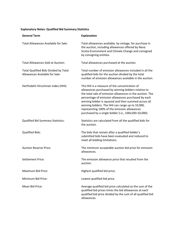## **Explanatory Notes: Qualified Bid Summary Statistics**

| <b>General Term</b>                                                            | <b>Explanation</b>                                                                                                                                                                                                                                                                                                                                                                                                                          |
|--------------------------------------------------------------------------------|---------------------------------------------------------------------------------------------------------------------------------------------------------------------------------------------------------------------------------------------------------------------------------------------------------------------------------------------------------------------------------------------------------------------------------------------|
| Total Allowances Available for Sale:                                           | Total allowances available, by vintage, for purchase in<br>the auction, including allowances offered by Nova<br>Scotia Environment and Climate Change and consigned<br>by consigning entities.                                                                                                                                                                                                                                              |
| <b>Total Allowances Sold at Auction:</b>                                       | Total allowances purchased at the auction.                                                                                                                                                                                                                                                                                                                                                                                                  |
| <b>Total Qualified Bids Divided by Total</b><br>Allowances Available for Sale: | Total number of emission allowances included in all the<br>qualified bids for the auction divided by the total<br>number of emission allowances available in the auction.                                                                                                                                                                                                                                                                   |
| Herfindahl-Hirschman Index (HHI):                                              | The HHI is a measure of the concentration of<br>allowances purchased by winning bidders relative to<br>the total sale of emission allowances in the auction. The<br>percentage of emission allowances purchased by each<br>winning bidder is squared and then summed across all<br>winning bidders. The HHI can range up to 10,000,<br>representing 100% of the emission allowances<br>purchased by a single bidder (i.e., 100x100=10,000). |
| <b>Qualified Bid Summary Statistics:</b>                                       | Statistics are calculated from all the qualified bids for<br>the auction.                                                                                                                                                                                                                                                                                                                                                                   |
| <b>Qualified Bids:</b>                                                         | The bids that remain after a qualified bidder's<br>submitted bids have been evaluated and reduced to<br>meet all bidding limitations.                                                                                                                                                                                                                                                                                                       |
| <b>Auction Reserve Price:</b>                                                  | The minimum acceptable auction bid price for emission<br>allowances.                                                                                                                                                                                                                                                                                                                                                                        |
| <b>Settlement Price:</b>                                                       | The emission allowance price that resulted from the<br>auction.                                                                                                                                                                                                                                                                                                                                                                             |
| Maximum Bid Price:                                                             | Highest qualified bid price.                                                                                                                                                                                                                                                                                                                                                                                                                |
| Minimum Bid Price:                                                             | Lowest qualified bid price.                                                                                                                                                                                                                                                                                                                                                                                                                 |
| Mean Bid Price:                                                                | Average qualified bid price calculated as the sum of the<br>qualified bid prices times the bid allowances at each<br>qualified bid price divided by the sum of all qualified bid<br>allowances.                                                                                                                                                                                                                                             |